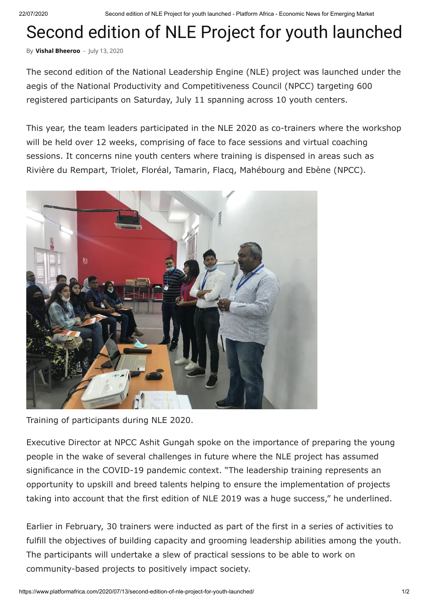22/07/2020 Second edition of NLE Project for youth launched - Platform Africa - Economic News for Emerging Market

## Second edition of NLE Project for youth launched

By **[Vishal Bheeroo](https://www.platformafrica.com/author/vishal/)** - July 13, 2020

The second edition of the National Leadership Engine (NLE) project was launched under the aegis of the National Productivity and Competitiveness Council (NPCC) targeting 600 registered participants on Saturday, July 11 spanning across 10 youth centers.

This year, the team leaders participated in the NLE 2020 as co-trainers where the workshop will be held over 12 weeks, comprising of face to face sessions and virtual coaching sessions. It concerns nine youth centers where training is dispensed in areas such as Rivière du Rempart, Triolet, Floréal, Tamarin, Flacq, Mahébourg and Ebène (NPCC).



Training of participants during NLE 2020.

Executive Director at NPCC Ashit Gungah spoke on the importance of preparing the young people in the wake of several challenges in future where the NLE project has assumed significance in the COVID-19 pandemic context. "The leadership training represents an opportunity to upskill and breed talents helping to ensure the implementation of projects taking into account that the first edition of NLE 2019 was a huge success," he underlined.

Earlier in February, 30 trainers were inducted as part of the first in a series of activities to fulfill the objectives of building capacity and grooming leadership abilities among the youth. The participants will undertake a slew of practical sessions to be able to work on community-based projects to positively impact society.